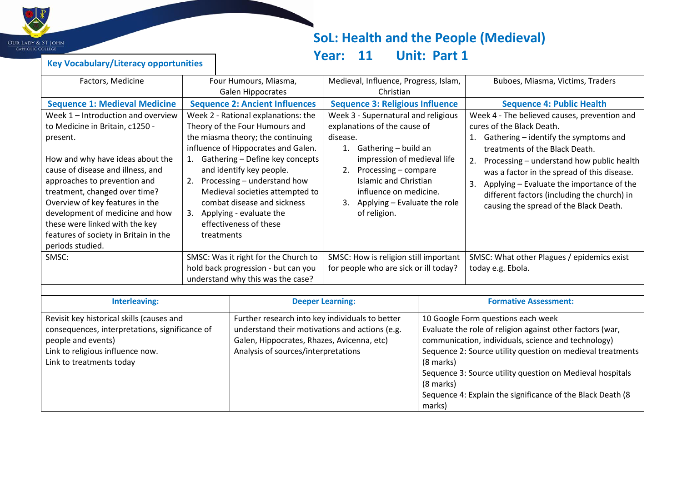

# **SoL: Health and the People (Medieval)**

marks)

## **Year: 11 Unit: Part 1**

| <b>Key Vocabulary/Literacy opportunities</b> |  |
|----------------------------------------------|--|
|----------------------------------------------|--|

| Factors, Medicine                                                                                                                                                                                                                                                                                                                                                                                | Four Humours, Miasma,<br><b>Galen Hippocrates</b>                                                                                                                                                                                                                                                                                                                                                      |                                                                                                                  | Medieval, Influence, Progress, Islam,<br>Christian                                                                                                                                                                                                                                   |  | Buboes, Miasma, Victims, Traders                                                                                                                                                                                                                                                                                                                                                                         |  |
|--------------------------------------------------------------------------------------------------------------------------------------------------------------------------------------------------------------------------------------------------------------------------------------------------------------------------------------------------------------------------------------------------|--------------------------------------------------------------------------------------------------------------------------------------------------------------------------------------------------------------------------------------------------------------------------------------------------------------------------------------------------------------------------------------------------------|------------------------------------------------------------------------------------------------------------------|--------------------------------------------------------------------------------------------------------------------------------------------------------------------------------------------------------------------------------------------------------------------------------------|--|----------------------------------------------------------------------------------------------------------------------------------------------------------------------------------------------------------------------------------------------------------------------------------------------------------------------------------------------------------------------------------------------------------|--|
| <b>Sequence 1: Medieval Medicine</b>                                                                                                                                                                                                                                                                                                                                                             |                                                                                                                                                                                                                                                                                                                                                                                                        | <b>Sequence 2: Ancient Influences</b>                                                                            | <b>Sequence 3: Religious Influence</b>                                                                                                                                                                                                                                               |  | <b>Sequence 4: Public Health</b>                                                                                                                                                                                                                                                                                                                                                                         |  |
| Week 1 - Introduction and overview<br>to Medicine in Britain, c1250 -<br>present.<br>How and why have ideas about the<br>cause of disease and illness, and<br>approaches to prevention and<br>treatment, changed over time?<br>Overview of key features in the<br>development of medicine and how<br>these were linked with the key<br>features of society in Britain in the<br>periods studied. | Week 2 - Rational explanations: the<br>Theory of the Four Humours and<br>the miasma theory; the continuing<br>influence of Hippocrates and Galen.<br>Gathering - Define key concepts<br>1.<br>and identify key people.<br>Processing - understand how<br>2.<br>Medieval societies attempted to<br>combat disease and sickness<br>Applying - evaluate the<br>3.<br>effectiveness of these<br>treatments |                                                                                                                  | Week 3 - Supernatural and religious<br>explanations of the cause of<br>disease.<br>1. Gathering - build an<br>impression of medieval life<br>2. Processing - compare<br><b>Islamic and Christian</b><br>influence on medicine.<br>Applying - Evaluate the role<br>3.<br>of religion. |  | Week 4 - The believed causes, prevention and<br>cures of the Black Death.<br>Gathering – identify the symptoms and<br>1.<br>treatments of the Black Death.<br>Processing - understand how public health<br>2.<br>was a factor in the spread of this disease.<br>Applying - Evaluate the importance of the<br>3.<br>different factors (including the church) in<br>causing the spread of the Black Death. |  |
| SMSC:                                                                                                                                                                                                                                                                                                                                                                                            |                                                                                                                                                                                                                                                                                                                                                                                                        | SMSC: Was it right for the Church to<br>hold back progression - but can you<br>understand why this was the case? | SMSC: How is religion still important<br>for people who are sick or ill today?                                                                                                                                                                                                       |  | SMSC: What other Plagues / epidemics exist<br>today e.g. Ebola.                                                                                                                                                                                                                                                                                                                                          |  |
|                                                                                                                                                                                                                                                                                                                                                                                                  |                                                                                                                                                                                                                                                                                                                                                                                                        |                                                                                                                  |                                                                                                                                                                                                                                                                                      |  |                                                                                                                                                                                                                                                                                                                                                                                                          |  |
| <b>Interleaving:</b>                                                                                                                                                                                                                                                                                                                                                                             |                                                                                                                                                                                                                                                                                                                                                                                                        |                                                                                                                  | <b>Deeper Learning:</b>                                                                                                                                                                                                                                                              |  | <b>Formative Assessment:</b>                                                                                                                                                                                                                                                                                                                                                                             |  |
| Revisit key historical skills (causes and<br>consequences, interpretations, significance of<br>people and events)<br>Galen, Hippocrates, Rhazes, Avicenna, etc)<br>Link to religious influence now.<br>Analysis of sources/interpretations<br>Link to treatments today                                                                                                                           |                                                                                                                                                                                                                                                                                                                                                                                                        |                                                                                                                  | Further research into key individuals to better<br>10 Google Form questions each week<br>understand their motivations and actions (e.g.<br>(8 marks)<br>(8 marks)                                                                                                                    |  | Evaluate the role of religion against other factors (war,<br>communication, individuals, science and technology)<br>Sequence 2: Source utility question on medieval treatments<br>Sequence 3: Source utility question on Medieval hospitals<br>Sequence 4: Explain the significance of the Black Death (8                                                                                                |  |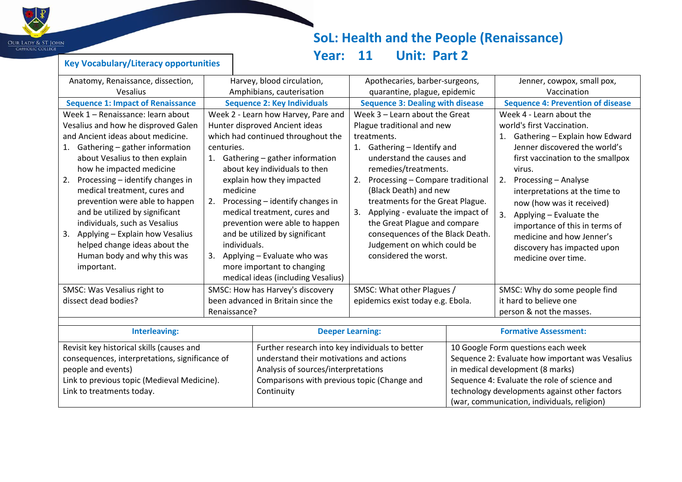

## **SoL: Health and the People (Renaissance) Year: 11 Unit: Part 2**

Sequence 2: Evaluate how important was Vesalius

Sequence 4: Evaluate the role of science and technology developments against other factors (war, communication, individuals, religion)

in medical development (8 marks)

#### **Key Vocabulary/Literacy opportunities**

consequences, interpretations, significance of

Link to previous topic (Medieval Medicine).

people and events)

Link to treatments today.

| Anatomy, Renaissance, dissection,         |                                     | Harvey, blood circulation,         |                                         | Apothecaries, barber-surgeons,                  |                                          | Jenner, cowpox, small pox, |                                    |                                   |  |
|-------------------------------------------|-------------------------------------|------------------------------------|-----------------------------------------|-------------------------------------------------|------------------------------------------|----------------------------|------------------------------------|-----------------------------------|--|
| Vesalius                                  |                                     | Amphibians, cauterisation          | quarantine, plague, epidemic            |                                                 |                                          |                            | Vaccination                        |                                   |  |
| <b>Sequence 1: Impact of Renaissance</b>  |                                     | <b>Sequence 2: Key Individuals</b> | <b>Sequence 3: Dealing with disease</b> |                                                 | <b>Sequence 4: Prevention of disease</b> |                            |                                    |                                   |  |
|                                           | Week 1 - Renaissance: learn about   |                                    | Week 2 - Learn how Harvey, Pare and     | Week $3$ – Learn about the Great                |                                          | Week 4 - Learn about the   |                                    |                                   |  |
|                                           | Vesalius and how he disproved Galen |                                    | Hunter disproved Ancient ideas          | Plague traditional and new                      |                                          | world's first Vaccination. |                                    |                                   |  |
|                                           | and Ancient ideas about medicine.   |                                    | which had continued throughout the      | treatments.                                     |                                          |                            | Gathering - Explain how Edward     |                                   |  |
| 1.                                        | Gathering - gather information      |                                    | centuries.                              | 1.                                              | Gathering - Identify and                 |                            |                                    | Jenner discovered the world's     |  |
|                                           | about Vesalius to then explain      |                                    | 1. Gathering - gather information       |                                                 | understand the causes and                |                            |                                    | first vaccination to the smallpox |  |
|                                           | how he impacted medicine            |                                    | about key individuals to then           |                                                 | remedies/treatments.                     |                            |                                    | virus.                            |  |
| 2.                                        | Processing - identify changes in    |                                    | explain how they impacted               | 2.                                              | Processing - Compare traditional         |                            | 2.                                 | Processing - Analyse              |  |
|                                           | medical treatment, cures and        |                                    | medicine                                |                                                 | (Black Death) and new                    |                            |                                    | interpretations at the time to    |  |
|                                           | prevention were able to happen      | 2.                                 | Processing - identify changes in        |                                                 | treatments for the Great Plague.         |                            |                                    | now (how was it received)         |  |
|                                           | and be utilized by significant      |                                    | medical treatment, cures and            | 3.                                              | Applying - evaluate the impact of        |                            | 3.                                 | Applying - Evaluate the           |  |
|                                           | individuals, such as Vesalius       |                                    | prevention were able to happen          |                                                 | the Great Plague and compare             |                            |                                    | importance of this in terms of    |  |
| 3.                                        | Applying - Explain how Vesalius     |                                    | and be utilized by significant          |                                                 | consequences of the Black Death.         |                            |                                    | medicine and how Jenner's         |  |
|                                           | helped change ideas about the       |                                    | individuals.                            | Judgement on which could be                     |                                          |                            | discovery has impacted upon        |                                   |  |
|                                           | Human body and why this was         | 3.                                 | Applying - Evaluate who was             |                                                 | considered the worst.                    |                            |                                    | medicine over time.               |  |
|                                           | important.                          |                                    | more important to changing              |                                                 |                                          |                            |                                    |                                   |  |
|                                           |                                     |                                    | medical ideas (including Vesalius)      |                                                 |                                          |                            |                                    |                                   |  |
| SMSC: Was Vesalius right to               |                                     | SMSC: How has Harvey's discovery   | SMSC: What other Plagues /              |                                                 |                                          |                            | SMSC: Why do some people find      |                                   |  |
| dissect dead bodies?                      |                                     | been advanced in Britain since the |                                         | epidemics exist today e.g. Ebola.               |                                          |                            | it hard to believe one             |                                   |  |
| Renaissance?                              |                                     |                                    |                                         |                                                 |                                          | person & not the masses.   |                                    |                                   |  |
|                                           |                                     |                                    |                                         |                                                 |                                          |                            |                                    |                                   |  |
| <b>Interleaving:</b>                      |                                     |                                    | <b>Deeper Learning:</b>                 |                                                 |                                          |                            | <b>Formative Assessment:</b>       |                                   |  |
| Revisit key historical skills (causes and |                                     |                                    |                                         | Further research into key individuals to better |                                          |                            | 10 Google Form questions each week |                                   |  |

understand their motivations and actions Analysis of sources/interpretations

**Continuity** 

Comparisons with previous topic (Change and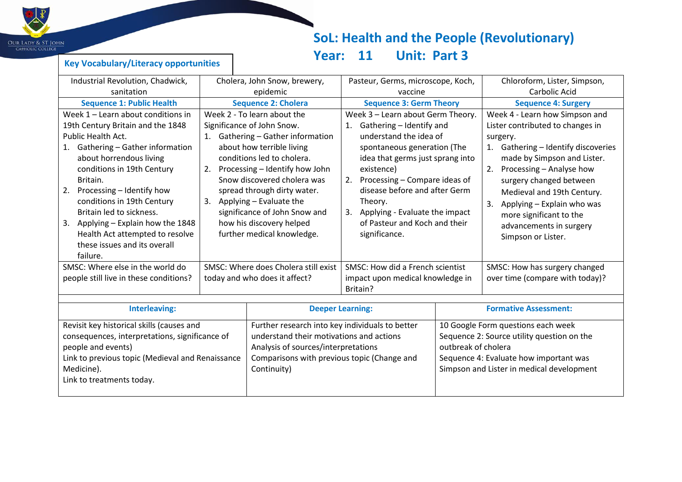

## **SoL: Health and the People (Revolutionary) Year: 11 Unit: Part 3**

#### **Key Vocabulary/Literacy opportunities**

| Industrial Revolution, Chadwick,                                                                                                                                                                                                                                                                                                                                                                                    |                                                                                                                                                                                                                                                                                                                                                                                          | Cholera, John Snow, brewery,                                                                                                                                                      | Pasteur, Germs, microscope, Koch,                                                                                                                                                                                                                                                                                                                           |  | Chloroform, Lister, Simpson,                                                                                                                                                                                                                                                                                                                                       |  |
|---------------------------------------------------------------------------------------------------------------------------------------------------------------------------------------------------------------------------------------------------------------------------------------------------------------------------------------------------------------------------------------------------------------------|------------------------------------------------------------------------------------------------------------------------------------------------------------------------------------------------------------------------------------------------------------------------------------------------------------------------------------------------------------------------------------------|-----------------------------------------------------------------------------------------------------------------------------------------------------------------------------------|-------------------------------------------------------------------------------------------------------------------------------------------------------------------------------------------------------------------------------------------------------------------------------------------------------------------------------------------------------------|--|--------------------------------------------------------------------------------------------------------------------------------------------------------------------------------------------------------------------------------------------------------------------------------------------------------------------------------------------------------------------|--|
| sanitation                                                                                                                                                                                                                                                                                                                                                                                                          |                                                                                                                                                                                                                                                                                                                                                                                          | epidemic                                                                                                                                                                          | vaccine                                                                                                                                                                                                                                                                                                                                                     |  | Carbolic Acid                                                                                                                                                                                                                                                                                                                                                      |  |
| <b>Sequence 1: Public Health</b>                                                                                                                                                                                                                                                                                                                                                                                    |                                                                                                                                                                                                                                                                                                                                                                                          | <b>Sequence 2: Cholera</b>                                                                                                                                                        | <b>Sequence 3: Germ Theory</b>                                                                                                                                                                                                                                                                                                                              |  | <b>Sequence 4: Surgery</b>                                                                                                                                                                                                                                                                                                                                         |  |
| Week 1 - Learn about conditions in<br>19th Century Britain and the 1848<br>Public Health Act.<br>Gathering - Gather information<br>1.<br>about horrendous living<br>conditions in 19th Century<br>Britain.<br>Processing - Identify how<br>2.<br>conditions in 19th Century<br>Britain led to sickness.<br>3.<br>Applying - Explain how the 1848<br>Health Act attempted to resolve<br>these issues and its overall | Week 2 - To learn about the<br>Significance of John Snow.<br>1. Gathering - Gather information<br>about how terrible living<br>conditions led to cholera.<br>Processing - Identify how John<br>2.<br>Snow discovered cholera was<br>spread through dirty water.<br>3. Applying - Evaluate the<br>significance of John Snow and<br>how his discovery helped<br>further medical knowledge. |                                                                                                                                                                                   | Week 3 - Learn about Germ Theory.<br>Gathering - Identify and<br>1.<br>understand the idea of<br>spontaneous generation (The<br>idea that germs just sprang into<br>existence)<br>Processing - Compare ideas of<br>2.<br>disease before and after Germ<br>Theory.<br>Applying - Evaluate the impact<br>3.<br>of Pasteur and Koch and their<br>significance. |  | Week 4 - Learn how Simpson and<br>Lister contributed to changes in<br>surgery.<br>Gathering - Identify discoveries<br>1.<br>made by Simpson and Lister.<br>Processing - Analyse how<br>2.<br>surgery changed between<br>Medieval and 19th Century.<br>Applying - Explain who was<br>3.<br>more significant to the<br>advancements in surgery<br>Simpson or Lister. |  |
| failure.<br>SMSC: Where else in the world do                                                                                                                                                                                                                                                                                                                                                                        |                                                                                                                                                                                                                                                                                                                                                                                          | SMSC: Where does Cholera still exist                                                                                                                                              | SMSC: How did a French scientist                                                                                                                                                                                                                                                                                                                            |  | SMSC: How has surgery changed                                                                                                                                                                                                                                                                                                                                      |  |
| people still live in these conditions?<br>today and who does it affect?                                                                                                                                                                                                                                                                                                                                             |                                                                                                                                                                                                                                                                                                                                                                                          |                                                                                                                                                                                   | impact upon medical knowledge in<br>Britain?                                                                                                                                                                                                                                                                                                                |  | over time (compare with today)?                                                                                                                                                                                                                                                                                                                                    |  |
|                                                                                                                                                                                                                                                                                                                                                                                                                     |                                                                                                                                                                                                                                                                                                                                                                                          |                                                                                                                                                                                   |                                                                                                                                                                                                                                                                                                                                                             |  |                                                                                                                                                                                                                                                                                                                                                                    |  |
| <b>Interleaving:</b>                                                                                                                                                                                                                                                                                                                                                                                                |                                                                                                                                                                                                                                                                                                                                                                                          | <b>Deeper Learning:</b>                                                                                                                                                           |                                                                                                                                                                                                                                                                                                                                                             |  | <b>Formative Assessment:</b>                                                                                                                                                                                                                                                                                                                                       |  |
| Revisit key historical skills (causes and<br>consequences, interpretations, significance of<br>people and events)<br>Link to previous topic (Medieval and Renaissance<br>Medicine).<br>Continuity)<br>Link to treatments today.                                                                                                                                                                                     |                                                                                                                                                                                                                                                                                                                                                                                          | Further research into key individuals to better<br>understand their motivations and actions<br>Analysis of sources/interpretations<br>Comparisons with previous topic (Change and | outbreak of cholera                                                                                                                                                                                                                                                                                                                                         |  | 10 Google Form questions each week<br>Sequence 2: Source utility question on the<br>Sequence 4: Evaluate how important was<br>Simpson and Lister in medical development                                                                                                                                                                                            |  |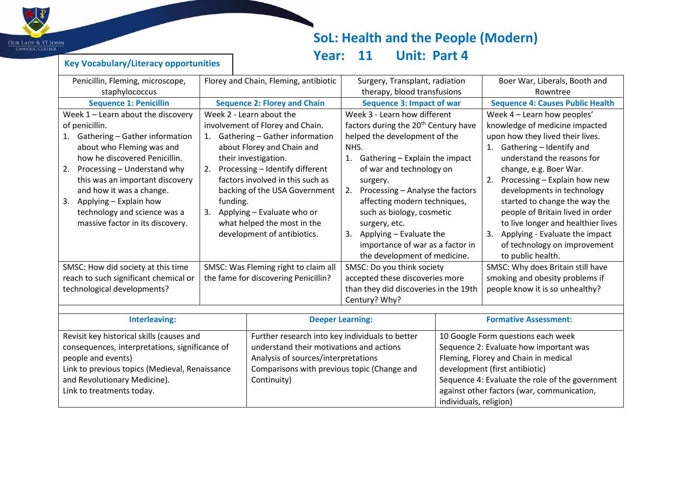

**Key Vocabulary/Literacy opportunities**

# **SoL: Health and the People (Modern)**

## **Year: 11 Unit: Part 4**

| Penicillin, Fleming, microscope,               | Florey and Chain, Fleming, antibiotic |                                                 | Surgery, Transplant, radiation                   |                                                 | Boer War, Liberals, Booth and           |
|------------------------------------------------|---------------------------------------|-------------------------------------------------|--------------------------------------------------|-------------------------------------------------|-----------------------------------------|
| staphylococcus                                 |                                       |                                                 | therapy, blood transfusions                      |                                                 | Rowntree                                |
| <b>Sequence 1: Penicillin</b>                  |                                       | <b>Sequence 2: Florey and Chain</b>             | <b>Sequence 3: Impact of war</b>                 |                                                 | <b>Sequence 4: Causes Public Health</b> |
| Week $1$ – Learn about the discovery           |                                       | Week 2 - Learn about the                        | Week 3 - Learn how different                     |                                                 | Week 4 - Learn how peoples'             |
| of penicillin.                                 |                                       | involvement of Florey and Chain.                | factors during the 20 <sup>th</sup> Century have |                                                 | knowledge of medicine impacted          |
| Gathering - Gather information<br>1.           | 1.                                    | Gathering - Gather information                  | helped the development of the                    |                                                 | upon how they lived their lives.        |
| about who Fleming was and                      |                                       | about Florey and Chain and                      | NHS.                                             |                                                 | Gathering - Identify and<br>1.          |
| how he discovered Penicillin.                  |                                       | their investigation.                            | 1. Gathering - Explain the impact                |                                                 | understand the reasons for              |
| Processing - Understand why<br>2.              |                                       | 2. Processing - Identify different              | of war and technology on                         |                                                 | change, e.g. Boer War.                  |
| this was an important discovery                |                                       | factors involved in this such as                | surgery.                                         |                                                 | Processing - Explain how new<br>2.      |
| and how it was a change.                       |                                       | backing of the USA Government                   | Processing - Analyse the factors<br>2.           |                                                 | developments in technology              |
| Applying - Explain how<br>3.                   | funding.                              |                                                 | affecting modern techniques,                     |                                                 | started to change the way the           |
| technology and science was a                   | Applying - Evaluate who or<br>3.      |                                                 | such as biology, cosmetic                        |                                                 | people of Britain lived in order        |
| massive factor in its discovery.               | what helped the most in the           |                                                 | surgery, etc.                                    |                                                 | to live longer and healthier lives      |
|                                                | development of antibiotics.           |                                                 | 3.<br>Applying - Evaluate the                    |                                                 | Applying - Evaluate the impact<br>3.    |
|                                                |                                       |                                                 | importance of war as a factor in                 |                                                 | of technology on improvement            |
|                                                |                                       |                                                 | the development of medicine.                     |                                                 | to public health.                       |
| SMSC: How did society at this time             |                                       | SMSC: Was Fleming right to claim all            | SMSC: Do you think society                       |                                                 | SMSC: Why does Britain still have       |
| reach to such significant chemical or          |                                       | the fame for discovering Penicillin?            | accepted these discoveries more                  |                                                 | smoking and obesity problems if         |
|                                                | technological developments?           |                                                 | than they did discoveries in the 19th            |                                                 | people know it is so unhealthy?         |
|                                                |                                       |                                                 | Century? Why?                                    |                                                 |                                         |
|                                                |                                       |                                                 |                                                  |                                                 | <b>Formative Assessment:</b>            |
| <b>Interleaving:</b>                           |                                       | <b>Deeper Learning:</b>                         |                                                  |                                                 |                                         |
| Revisit key historical skills (causes and      |                                       | Further research into key individuals to better |                                                  | 10 Google Form questions each week              |                                         |
| consequences, interpretations, significance of |                                       | understand their motivations and actions        |                                                  | Sequence 2: Evaluate how important was          |                                         |
| people and events)                             |                                       | Analysis of sources/interpretations             |                                                  | Fleming, Florey and Chain in medical            |                                         |
| Link to previous topics (Medieval, Renaissance |                                       | Comparisons with previous topic (Change and     |                                                  | development (first antibiotic)                  |                                         |
| and Revolutionary Medicine).                   |                                       | Continuity)                                     |                                                  | Sequence 4: Evaluate the role of the government |                                         |
| Link to treatments today.                      |                                       |                                                 |                                                  | against other factors (war, communication,      |                                         |
|                                                |                                       |                                                 |                                                  | individuals, religion)                          |                                         |